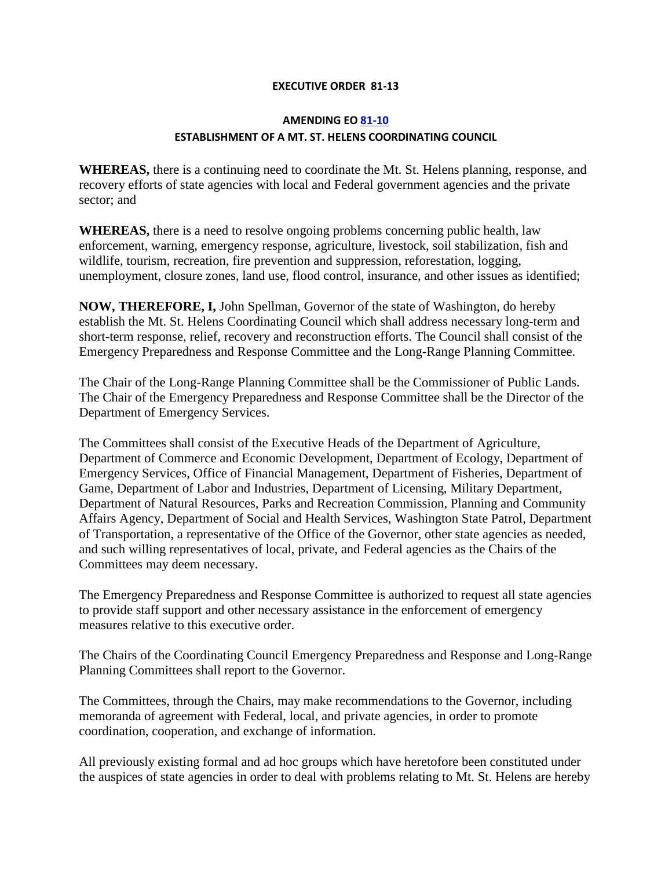## **EXECUTIVE ORDER 81-13**

## **AMENDING E[O 81-10](http://governor.wa.gov/office/execorders/eoarchive/eo81-10.htm) ESTABLISHMENT OF A MT. ST. HELENS COORDINATING COUNCIL**

**WHEREAS,** there is a continuing need to coordinate the Mt. St. Helens planning, response, and recovery efforts of state agencies with local and Federal government agencies and the private sector; and

**WHEREAS,** there is a need to resolve ongoing problems concerning public health, law enforcement, warning, emergency response, agriculture, livestock, soil stabilization, fish and wildlife, tourism, recreation, fire prevention and suppression, reforestation, logging, unemployment, closure zones, land use, flood control, insurance, and other issues as identified;

**NOW, THEREFORE, I,** John Spellman, Governor of the state of Washington, do hereby establish the Mt. St. Helens Coordinating Council which shall address necessary long-term and short-term response, relief, recovery and reconstruction efforts. The Council shall consist of the Emergency Preparedness and Response Committee and the Long-Range Planning Committee.

The Chair of the Long-Range Planning Committee shall be the Commissioner of Public Lands. The Chair of the Emergency Preparedness and Response Committee shall be the Director of the Department of Emergency Services.

The Committees shall consist of the Executive Heads of the Department of Agriculture, Department of Commerce and Economic Development, Department of Ecology, Department of Emergency Services, Office of Financial Management, Department of Fisheries, Department of Game, Department of Labor and Industries, Department of Licensing, Military Department, Department of Natural Resources, Parks and Recreation Commission, Planning and Community Affairs Agency, Department of Social and Health Services, Washington State Patrol, Department of Transportation, a representative of the Office of the Governor, other state agencies as needed, and such willing representatives of local, private, and Federal agencies as the Chairs of the Committees may deem necessary.

The Emergency Preparedness and Response Committee is authorized to request all state agencies to provide staff support and other necessary assistance in the enforcement of emergency measures relative to this executive order.

The Chairs of the Coordinating Council Emergency Preparedness and Response and Long-Range Planning Committees shall report to the Governor.

The Committees, through the Chairs, may make recommendations to the Governor, including memoranda of agreement with Federal, local, and private agencies, in order to promote coordination, cooperation, and exchange of information.

All previously existing formal and ad hoc groups which have heretofore been constituted under the auspices of state agencies in order to deal with problems relating to Mt. St. Helens are hereby